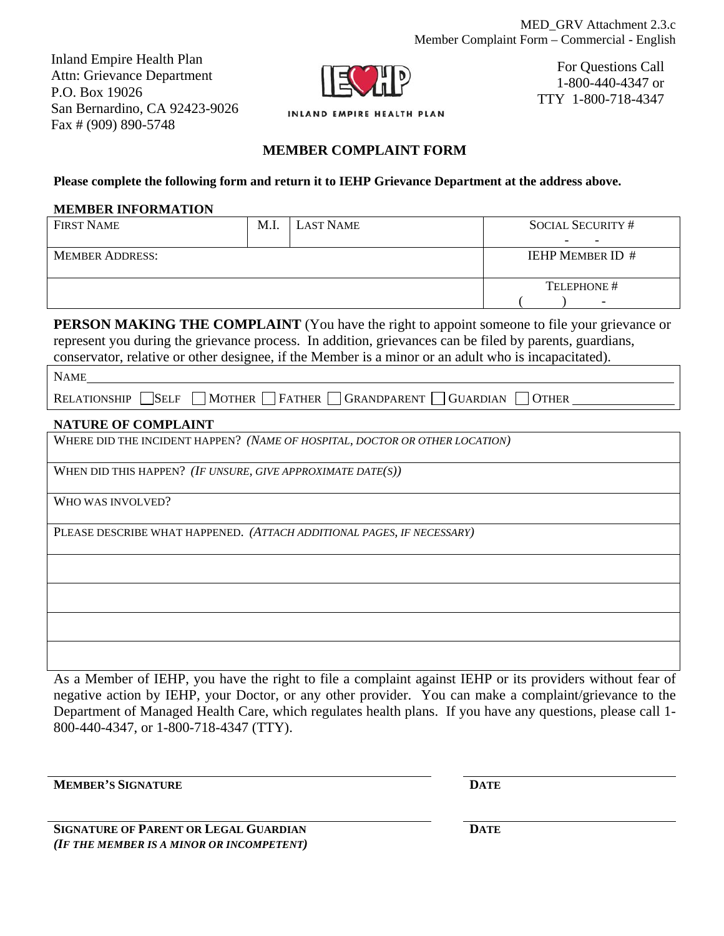MED\_GRV Attachment 2.3.c Member Complaint Form – Commercial - English

Inland Empire Health Plan Attn: Grievance Department P.O. Box 19026 San Bernardino, CA 92423-9026 Fax # (909) 890-5748



For Questions Call 1-800-440-4347 or TTY 1-800-718-4347

INLAND EMPIRE HEALTH PLAN

## **MEMBER COMPLAINT FORM**

**Please complete the following form and return it to IEHP Grievance Department at the address above.** 

## **MEMBER INFORMATION**

| <b>FIRST NAME</b>                                                                                                                                                                                                                                                                                                      | M.I. | <b>LAST NAME</b>        | <b>SOCIAL SECURITY #</b> |  |
|------------------------------------------------------------------------------------------------------------------------------------------------------------------------------------------------------------------------------------------------------------------------------------------------------------------------|------|-------------------------|--------------------------|--|
| <b>MEMBER ADDRESS:</b>                                                                                                                                                                                                                                                                                                 |      | <b>IEHP MEMBER ID #</b> |                          |  |
|                                                                                                                                                                                                                                                                                                                        |      |                         | TELEPHONE #              |  |
| <b>PERSON MAKING THE COMPLAINT</b> (You have the right to appoint someone to file your grievance or<br>represent you during the grievance process. In addition, grievances can be filed by parents, guardians,<br>conservator, relative or other designee, if the Member is a minor or an adult who is incapacitated). |      |                         |                          |  |
| <b>NAME</b>                                                                                                                                                                                                                                                                                                            |      |                         |                          |  |
| MOTHER FATHER GRANDPARENT<br><b>SELF</b><br><b>GUARDIAN</b><br><b>RELATIONSHIP</b><br><b>OTHER</b>                                                                                                                                                                                                                     |      |                         |                          |  |
| <b>NATURE OF COMPLAINT</b>                                                                                                                                                                                                                                                                                             |      |                         |                          |  |
| WHERE DID THE INCIDENT HAPPEN? (NAME OF HOSPITAL, DOCTOR OR OTHER LOCATION)                                                                                                                                                                                                                                            |      |                         |                          |  |
| WHEN DID THIS HAPPEN? (IF UNSURE, GIVE APPROXIMATE DATE(S))                                                                                                                                                                                                                                                            |      |                         |                          |  |
| WHO WAS INVOLVED?                                                                                                                                                                                                                                                                                                      |      |                         |                          |  |
| PLEASE DESCRIBE WHAT HAPPENED. (ATTACH ADDITIONAL PAGES, IF NECESSARY)                                                                                                                                                                                                                                                 |      |                         |                          |  |
|                                                                                                                                                                                                                                                                                                                        |      |                         |                          |  |
|                                                                                                                                                                                                                                                                                                                        |      |                         |                          |  |
|                                                                                                                                                                                                                                                                                                                        |      |                         |                          |  |
|                                                                                                                                                                                                                                                                                                                        |      |                         |                          |  |

As a Member of IEHP, you have the right to file a complaint against IEHP or its providers without fear of negative action by IEHP, your Doctor, or any other provider. You can make a complaint/grievance to the Department of Managed Health Care, which regulates health plans. If you have any questions, please call 1- 800-440-4347, or 1-800-718-4347 (TTY).

**MEMBER'S SIGNATURE DATE** 

| <b>SIGNATURE OF PARENT OR LEGAL GUARDIAN</b> |  |
|----------------------------------------------|--|
| (IF THE MEMBER IS A MINOR OR INCOMPETENT)    |  |

 **DATE**